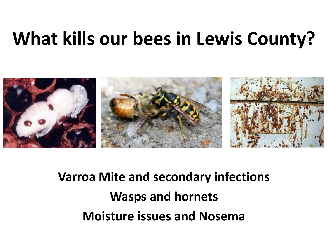### **What kills our bees in Lewis County?**



**Varroa Mite and secondary infections Wasps and hornets Moisture issues and Nosema**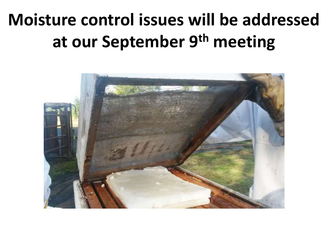### **Moisture control issues will be addressed at our September 9th meeting**

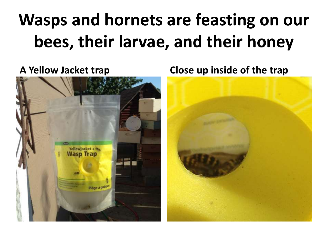## **Wasps and hornets are feasting on our bees, their larvae, and their honey**



**A Yellow Jacket trap Close up inside of the trap**

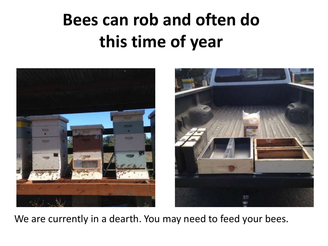### **Bees can rob and often do this time of year**



We are currently in a dearth. You may need to feed your bees.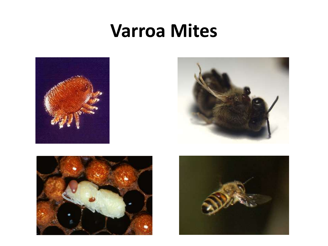#### **Varroa Mites**







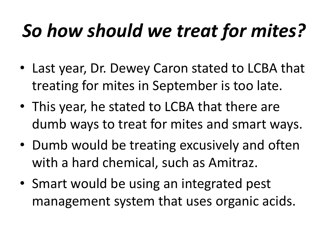# *So how should we treat for mites?*

- Last year, Dr. Dewey Caron stated to LCBA that treating for mites in September is too late.
- This year, he stated to LCBA that there are dumb ways to treat for mites and smart ways.
- Dumb would be treating excusively and often with a hard chemical, such as Amitraz.
- Smart would be using an integrated pest management system that uses organic acids.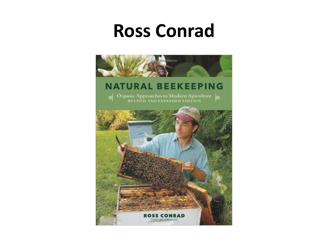### **Ross Conrad**

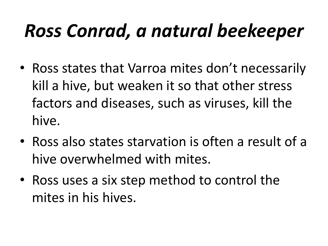## *Ross Conrad, a natural beekeeper*

- Ross states that Varroa mites don't necessarily kill a hive, but weaken it so that other stress factors and diseases, such as viruses, kill the hive.
- Ross also states starvation is often a result of a hive overwhelmed with mites.
- Ross uses a six step method to control the mites in his hives.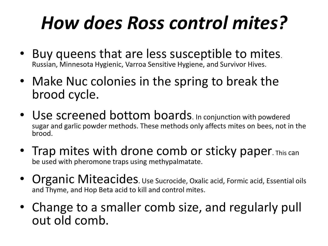## *How does Ross control mites?*

- Buy queens that are less susceptible to mites. Russian, Minnesota Hygienic, Varroa Sensitive Hygiene, and Survivor Hives.
- Make Nuc colonies in the spring to break the brood cycle.
- Use screened bottom boards. In conjunction with powdered sugar and garlic powder methods. These methods only affects mites on bees, not in the brood.
- Trap mites with drone comb or sticky paper. This can be used with pheromone traps using methypalmatate.
- Organic Miteacides. Use Sucrocide, Oxalic acid, Formic acid, Essential oils and Thyme, and Hop Beta acid to kill and control mites.
- Change to a smaller comb size, and regularly pull out old comb.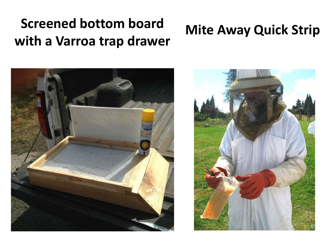#### **Screened bottom board with a Varroa trap drawer**

#### **Mite Away Quick Strip**